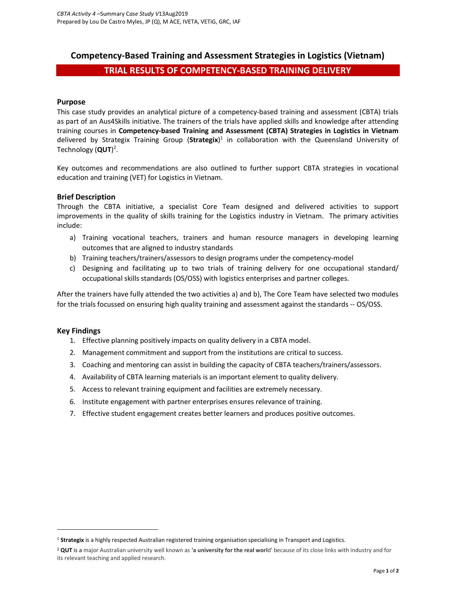# Competency-Based Training and Assessment Strategies in Logistics (Vietnam)

# TRIAL RESULTS OF COMPETENCY-BASED TRAINING DELIVERY

### Purpose

This case study provides an analytical picture of a competency-based training and assessment (CBTA) trials as part of an Aus4Skills initiative. The trainers of the trials have applied skills and knowledge after attending training courses in Competency-based Training and Assessment (CBTA) Strategies in Logistics in Vietnam delivered by Strategix Training Group (Strategix)<sup>1</sup> in collaboration with the Queensland University of Technology (QUT)<sup>2</sup>.

Key outcomes and recommendations are also outlined to further support CBTA strategies in vocational education and training (VET) for Logistics in Vietnam.

# Brief Description

Through the CBTA initiative, a specialist Core Team designed and delivered activities to support improvements in the quality of skills training for the Logistics industry in Vietnam. The primary activities include:

- a) Training vocational teachers, trainers and human resource managers in developing learning outcomes that are aligned to industry standards
- b) Training teachers/trainers/assessors to design programs under the competency-model
- c) Designing and facilitating up to two trials of training delivery for one occupational standard/ occupational skills standards (OS/OSS) with logistics enterprises and partner colleges.

After the trainers have fully attended the two activities a) and b), The Core Team have selected two modules for the trials focussed on ensuring high quality training and assessment against the standards -- OS/OSS.

#### Key Findings

 $\overline{a}$ 

- 1. Effective planning positively impacts on quality delivery in a CBTA model.
- 2. Management commitment and support from the institutions are critical to success.
- 3. Coaching and mentoring can assist in building the capacity of CBTA teachers/trainers/assessors.
- 4. Availability of CBTA learning materials is an important element to quality delivery.
- 5. Access to relevant training equipment and facilities are extremely necessary.
- 6. Institute engagement with partner enterprises ensures relevance of training.
- 7. Effective student engagement creates better learners and produces positive outcomes.

<sup>&</sup>lt;sup>1</sup> Strategix is a highly respected Australian registered training organisation specialising in Transport and Logistics.

<sup>&</sup>lt;sup>2</sup> QUT is a major Australian university well known as 'a university for the real world' because of its close links with industry and for its relevant teaching and applied research.